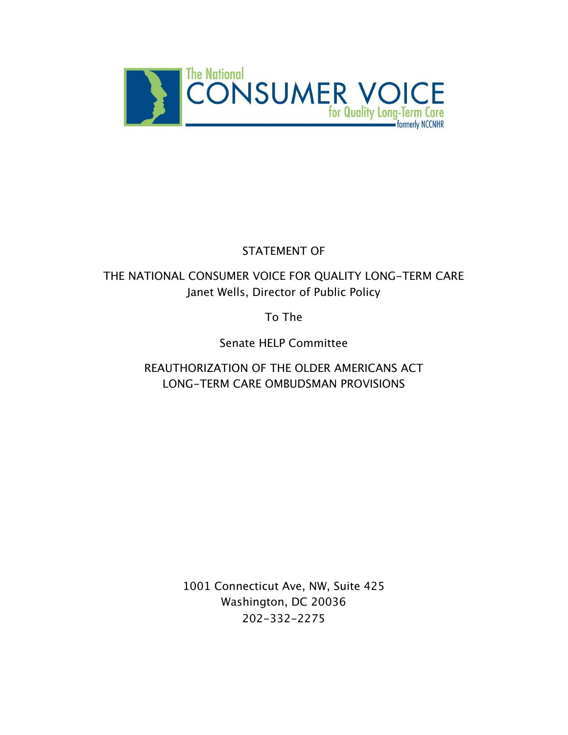

# STATEMENT OF

# THE NATIONAL CONSUMER VOICE FOR QUALITY LONG-TERM CARE Janet Wells, Director of Public Policy

To The

Senate HELP Committee

REAUTHORIZATION OF THE OLDER AMERICANS ACT LONG-TERM CARE OMBUDSMAN PROVISIONS

> 1001 Connecticut Ave, NW, Suite 425 Washington, DC 20036 202-332-2275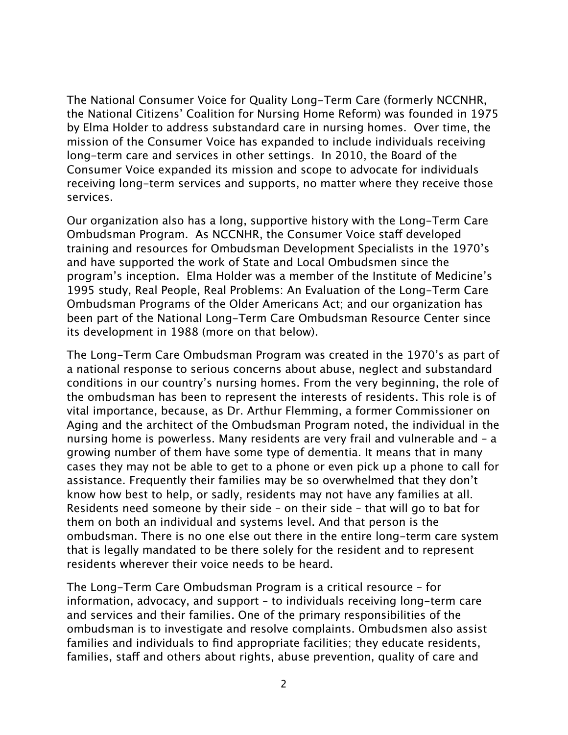The National Consumer Voice for Quality Long-Term Care (formerly NCCNHR, the National Citizens' Coalition for Nursing Home Reform) was founded in 1975 by Elma Holder to address substandard care in nursing homes. Over time, the mission of the Consumer Voice has expanded to include individuals receiving long-term care and services in other settings. In 2010, the Board of the Consumer Voice expanded its mission and scope to advocate for individuals receiving long-term services and supports, no matter where they receive those services.

Our organization also has a long, supportive history with the Long-Term Care Ombudsman Program. As NCCNHR, the Consumer Voice staff developed training and resources for Ombudsman Development Specialists in the 1970's and have supported the work of State and Local Ombudsmen since the program's inception. Elma Holder was a member of the Institute of Medicine's 1995 study, Real People, Real Problems: An Evaluation of the Long-Term Care Ombudsman Programs of the Older Americans Act; and our organization has been part of the National Long-Term Care Ombudsman Resource Center since its development in 1988 (more on that below).

The Long-Term Care Ombudsman Program was created in the 1970's as part of a national response to serious concerns about abuse, neglect and substandard conditions in our country's nursing homes. From the very beginning, the role of the ombudsman has been to represent the interests of residents. This role is of vital importance, because, as Dr. Arthur Flemming, a former Commissioner on Aging and the architect of the Ombudsman Program noted, the individual in the nursing home is powerless. Many residents are very frail and vulnerable and – a growing number of them have some type of dementia. It means that in many cases they may not be able to get to a phone or even pick up a phone to call for assistance. Frequently their families may be so overwhelmed that they don't know how best to help, or sadly, residents may not have any families at all. Residents need someone by their side – on their side – that will go to bat for them on both an individual and systems level. And that person is the ombudsman. There is no one else out there in the entire long-term care system that is legally mandated to be there solely for the resident and to represent residents wherever their voice needs to be heard.

The Long-Term Care Ombudsman Program is a critical resource – for information, advocacy, and support – to individuals receiving long-term care and services and their families. One of the primary responsibilities of the ombudsman is to investigate and resolve complaints. Ombudsmen also assist families and individuals to find appropriate facilities; they educate residents, families, staff and others about rights, abuse prevention, quality of care and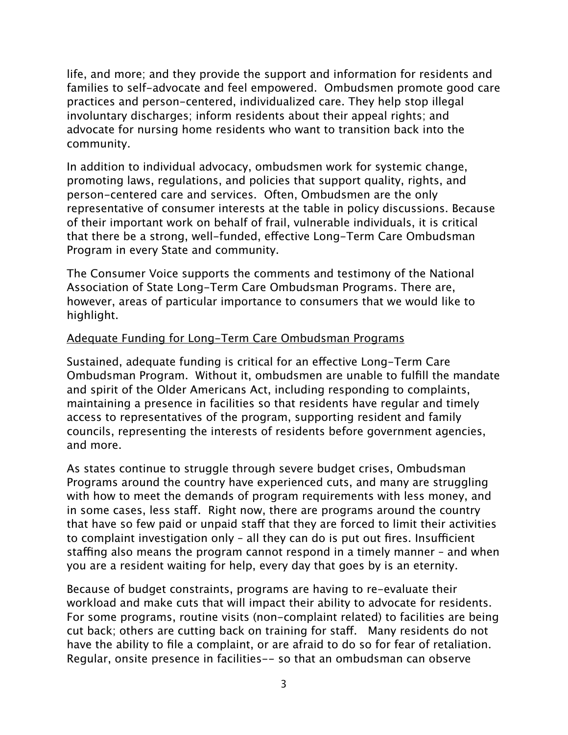life, and more; and they provide the support and information for residents and families to self-advocate and feel empowered. Ombudsmen promote good care practices and person-centered, individualized care. They help stop illegal involuntary discharges; inform residents about their appeal rights; and advocate for nursing home residents who want to transition back into the community.

In addition to individual advocacy, ombudsmen work for systemic change, promoting laws, regulations, and policies that support quality, rights, and person-centered care and services. Often, Ombudsmen are the only representative of consumer interests at the table in policy discussions. Because of their important work on behalf of frail, vulnerable individuals, it is critical that there be a strong, well-funded, effective Long-Term Care Ombudsman Program in every State and community.

The Consumer Voice supports the comments and testimony of the National Association of State Long-Term Care Ombudsman Programs. There are, however, areas of particular importance to consumers that we would like to highlight.

#### Adequate Funding for Long-Term Care Ombudsman Programs

Sustained, adequate funding is critical for an effective Long-Term Care Ombudsman Program. Without it, ombudsmen are unable to fulfill the mandate and spirit of the Older Americans Act, including responding to complaints, maintaining a presence in facilities so that residents have regular and timely access to representatives of the program, supporting resident and family councils, representing the interests of residents before government agencies, and more.

As states continue to struggle through severe budget crises, Ombudsman Programs around the country have experienced cuts, and many are struggling with how to meet the demands of program requirements with less money, and in some cases, less staff. Right now, there are programs around the country that have so few paid or unpaid staff that they are forced to limit their activities to complaint investigation only  $-$  all they can do is put out fires. Insufficient staffing also means the program cannot respond in a timely manner – and when you are a resident waiting for help, every day that goes by is an eternity.

Because of budget constraints, programs are having to re-evaluate their workload and make cuts that will impact their ability to advocate for residents. For some programs, routine visits (non-complaint related) to facilities are being cut back; others are cutting back on training for staff. Many residents do not have the ability to file a complaint, or are afraid to do so for fear of retaliation. Regular, onsite presence in facilities-- so that an ombudsman can observe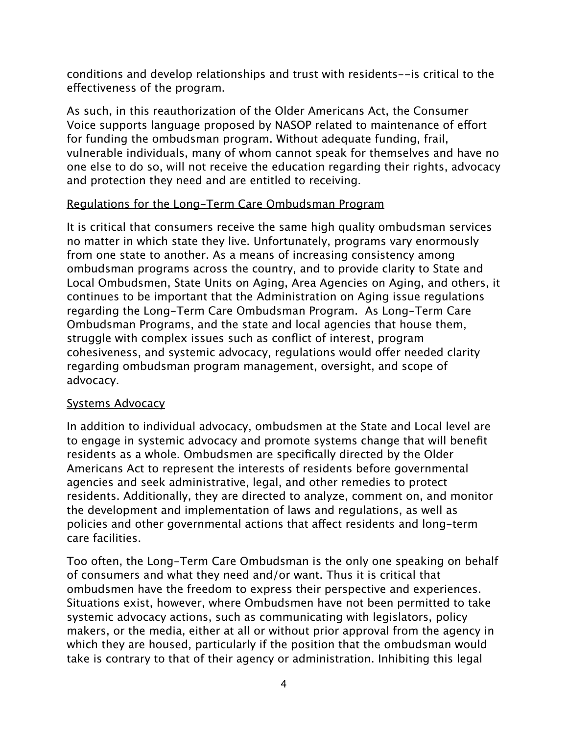conditions and develop relationships and trust with residents--is critical to the effectiveness of the program.

As such, in this reauthorization of the Older Americans Act, the Consumer Voice supports language proposed by NASOP related to maintenance of effort for funding the ombudsman program. Without adequate funding, frail, vulnerable individuals, many of whom cannot speak for themselves and have no one else to do so, will not receive the education regarding their rights, advocacy and protection they need and are entitled to receiving.

### Regulations for the Long-Term Care Ombudsman Program

It is critical that consumers receive the same high quality ombudsman services no matter in which state they live. Unfortunately, programs vary enormously from one state to another. As a means of increasing consistency among ombudsman programs across the country, and to provide clarity to State and Local Ombudsmen, State Units on Aging, Area Agencies on Aging, and others, it continues to be important that the Administration on Aging issue regulations regarding the Long-Term Care Ombudsman Program. As Long-Term Care Ombudsman Programs, and the state and local agencies that house them, struggle with complex issues such as conflict of interest, program cohesiveness, and systemic advocacy, regulations would offer needed clarity regarding ombudsman program management, oversight, and scope of advocacy.

#### Systems Advocacy

In addition to individual advocacy, ombudsmen at the State and Local level are to engage in systemic advocacy and promote systems change that will benefit residents as a whole. Ombudsmen are specifically directed by the Older Americans Act to represent the interests of residents before governmental agencies and seek administrative, legal, and other remedies to protect residents. Additionally, they are directed to analyze, comment on, and monitor the development and implementation of laws and regulations, as well as policies and other governmental actions that affect residents and long-term care facilities.

Too often, the Long-Term Care Ombudsman is the only one speaking on behalf of consumers and what they need and/or want. Thus it is critical that ombudsmen have the freedom to express their perspective and experiences. Situations exist, however, where Ombudsmen have not been permitted to take systemic advocacy actions, such as communicating with legislators, policy makers, or the media, either at all or without prior approval from the agency in which they are housed, particularly if the position that the ombudsman would take is contrary to that of their agency or administration. Inhibiting this legal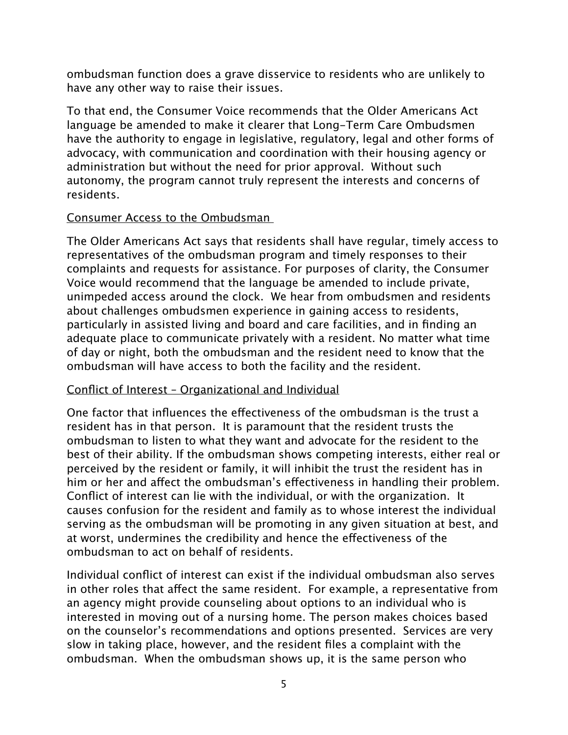ombudsman function does a grave disservice to residents who are unlikely to have any other way to raise their issues.

To that end, the Consumer Voice recommends that the Older Americans Act language be amended to make it clearer that Long-Term Care Ombudsmen have the authority to engage in legislative, regulatory, legal and other forms of advocacy, with communication and coordination with their housing agency or administration but without the need for prior approval. Without such autonomy, the program cannot truly represent the interests and concerns of residents.

### Consumer Access to the Ombudsman

The Older Americans Act says that residents shall have regular, timely access to representatives of the ombudsman program and timely responses to their complaints and requests for assistance. For purposes of clarity, the Consumer Voice would recommend that the language be amended to include private, unimpeded access around the clock. We hear from ombudsmen and residents about challenges ombudsmen experience in gaining access to residents, particularly in assisted living and board and care facilities, and in finding an adequate place to communicate privately with a resident. No matter what time of day or night, both the ombudsman and the resident need to know that the ombudsman will have access to both the facility and the resident.

## Conflict of Interest – Organizational and Individual

One factor that influences the effectiveness of the ombudsman is the trust a resident has in that person. It is paramount that the resident trusts the ombudsman to listen to what they want and advocate for the resident to the best of their ability. If the ombudsman shows competing interests, either real or perceived by the resident or family, it will inhibit the trust the resident has in him or her and affect the ombudsman's effectiveness in handling their problem. Conflict of interest can lie with the individual, or with the organization. It causes confusion for the resident and family as to whose interest the individual serving as the ombudsman will be promoting in any given situation at best, and at worst, undermines the credibility and hence the effectiveness of the ombudsman to act on behalf of residents.

Individual conflict of interest can exist if the individual ombudsman also serves in other roles that affect the same resident. For example, a representative from an agency might provide counseling about options to an individual who is interested in moving out of a nursing home. The person makes choices based on the counselor's recommendations and options presented. Services are very slow in taking place, however, and the resident files a complaint with the ombudsman. When the ombudsman shows up, it is the same person who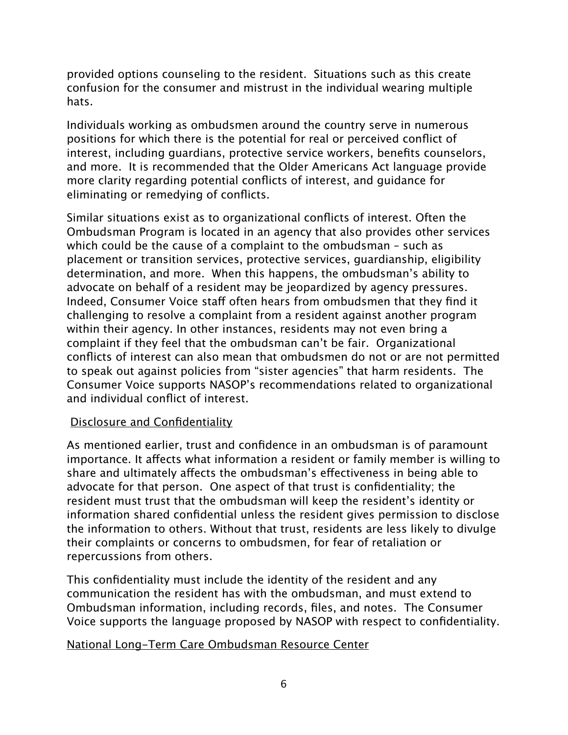provided options counseling to the resident. Situations such as this create confusion for the consumer and mistrust in the individual wearing multiple hats.

Individuals working as ombudsmen around the country serve in numerous positions for which there is the potential for real or perceived conflict of interest, including guardians, protective service workers, benefits counselors, and more. It is recommended that the Older Americans Act language provide more clarity regarding potential conflicts of interest, and guidance for eliminating or remedying of conflicts.

Similar situations exist as to organizational conflicts of interest. Often the Ombudsman Program is located in an agency that also provides other services which could be the cause of a complaint to the ombudsman – such as placement or transition services, protective services, guardianship, eligibility determination, and more. When this happens, the ombudsman's ability to advocate on behalf of a resident may be jeopardized by agency pressures. Indeed, Consumer Voice staff often hears from ombudsmen that they find it challenging to resolve a complaint from a resident against another program within their agency. In other instances, residents may not even bring a complaint if they feel that the ombudsman can't be fair. Organizational conflicts of interest can also mean that ombudsmen do not or are not permitted to speak out against policies from "sister agencies" that harm residents. The Consumer Voice supports NASOP's recommendations related to organizational and individual conflict of interest.

## Disclosure and Confidentiality

As mentioned earlier, trust and confidence in an ombudsman is of paramount importance. It affects what information a resident or family member is willing to share and ultimately affects the ombudsman's effectiveness in being able to advocate for that person. One aspect of that trust is confidentiality; the resident must trust that the ombudsman will keep the resident's identity or information shared confidential unless the resident gives permission to disclose the information to others. Without that trust, residents are less likely to divulge their complaints or concerns to ombudsmen, for fear of retaliation or repercussions from others.

This confidentiality must include the identity of the resident and any communication the resident has with the ombudsman, and must extend to Ombudsman information, including records, files, and notes. The Consumer Voice supports the language proposed by NASOP with respect to confidentiality.

#### National Long-Term Care Ombudsman Resource Center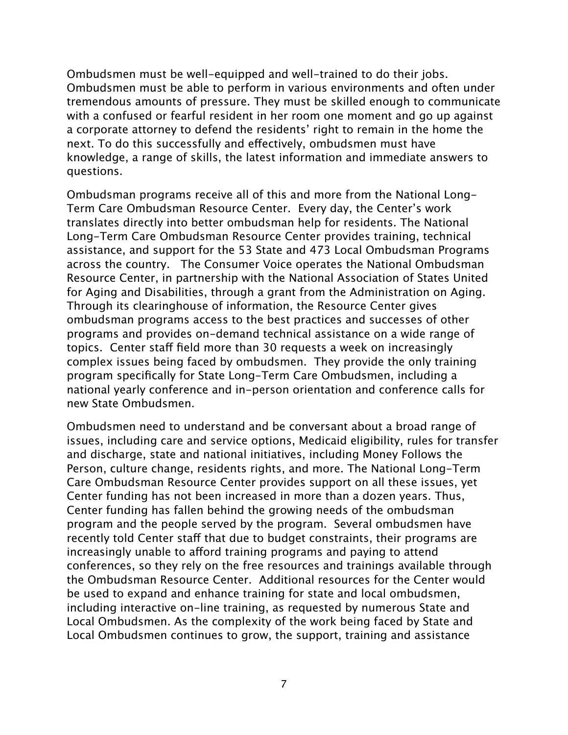Ombudsmen must be well-equipped and well-trained to do their jobs. Ombudsmen must be able to perform in various environments and often under tremendous amounts of pressure. They must be skilled enough to communicate with a confused or fearful resident in her room one moment and go up against a corporate attorney to defend the residents' right to remain in the home the next. To do this successfully and effectively, ombudsmen must have knowledge, a range of skills, the latest information and immediate answers to questions.

Ombudsman programs receive all of this and more from the National Long-Term Care Ombudsman Resource Center. Every day, the Center's work translates directly into better ombudsman help for residents. The National Long-Term Care Ombudsman Resource Center provides training, technical assistance, and support for the 53 State and 473 Local Ombudsman Programs across the country. The Consumer Voice operates the National Ombudsman Resource Center, in partnership with the National Association of States United for Aging and Disabilities, through a grant from the Administration on Aging. Through its clearinghouse of information, the Resource Center gives ombudsman programs access to the best practices and successes of other programs and provides on-demand technical assistance on a wide range of topics. Center staff field more than 30 requests a week on increasingly complex issues being faced by ombudsmen. They provide the only training program specifically for State Long-Term Care Ombudsmen, including a national yearly conference and in-person orientation and conference calls for new State Ombudsmen.

Ombudsmen need to understand and be conversant about a broad range of issues, including care and service options, Medicaid eligibility, rules for transfer and discharge, state and national initiatives, including Money Follows the Person, culture change, residents rights, and more. The National Long-Term Care Ombudsman Resource Center provides support on all these issues, yet Center funding has not been increased in more than a dozen years. Thus, Center funding has fallen behind the growing needs of the ombudsman program and the people served by the program. Several ombudsmen have recently told Center staff that due to budget constraints, their programs are increasingly unable to afford training programs and paying to attend conferences, so they rely on the free resources and trainings available through the Ombudsman Resource Center. Additional resources for the Center would be used to expand and enhance training for state and local ombudsmen, including interactive on-line training, as requested by numerous State and Local Ombudsmen. As the complexity of the work being faced by State and Local Ombudsmen continues to grow, the support, training and assistance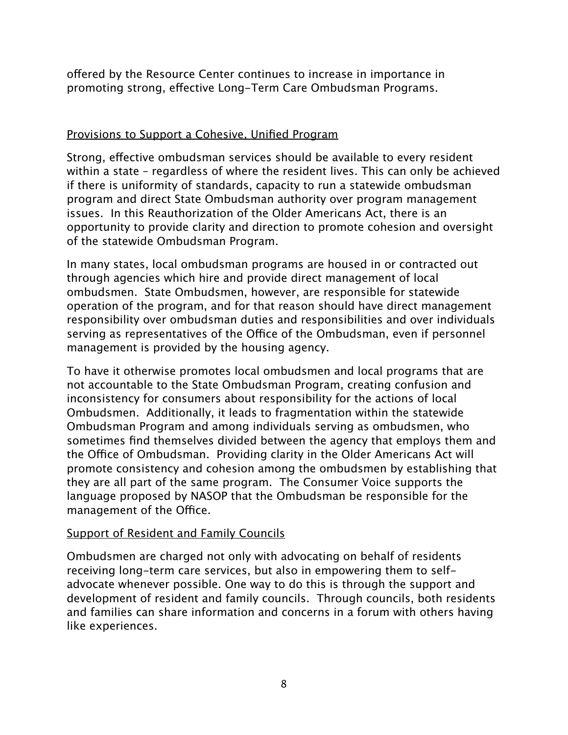offered by the Resource Center continues to increase in importance in promoting strong, effective Long-Term Care Ombudsman Programs.

### Provisions to Support a Cohesive, Unified Program

Strong, effective ombudsman services should be available to every resident within a state – regardless of where the resident lives. This can only be achieved if there is uniformity of standards, capacity to run a statewide ombudsman program and direct State Ombudsman authority over program management issues. In this Reauthorization of the Older Americans Act, there is an opportunity to provide clarity and direction to promote cohesion and oversight of the statewide Ombudsman Program.

In many states, local ombudsman programs are housed in or contracted out through agencies which hire and provide direct management of local ombudsmen. State Ombudsmen, however, are responsible for statewide operation of the program, and for that reason should have direct management responsibility over ombudsman duties and responsibilities and over individuals serving as representatives of the Office of the Ombudsman, even if personnel management is provided by the housing agency.

To have it otherwise promotes local ombudsmen and local programs that are not accountable to the State Ombudsman Program, creating confusion and inconsistency for consumers about responsibility for the actions of local Ombudsmen. Additionally, it leads to fragmentation within the statewide Ombudsman Program and among individuals serving as ombudsmen, who sometimes find themselves divided between the agency that employs them and the Office of Ombudsman. Providing clarity in the Older Americans Act will promote consistency and cohesion among the ombudsmen by establishing that they are all part of the same program. The Consumer Voice supports the language proposed by NASOP that the Ombudsman be responsible for the management of the Office.

## Support of Resident and Family Councils

Ombudsmen are charged not only with advocating on behalf of residents receiving long-term care services, but also in empowering them to selfadvocate whenever possible. One way to do this is through the support and development of resident and family councils. Through councils, both residents and families can share information and concerns in a forum with others having like experiences.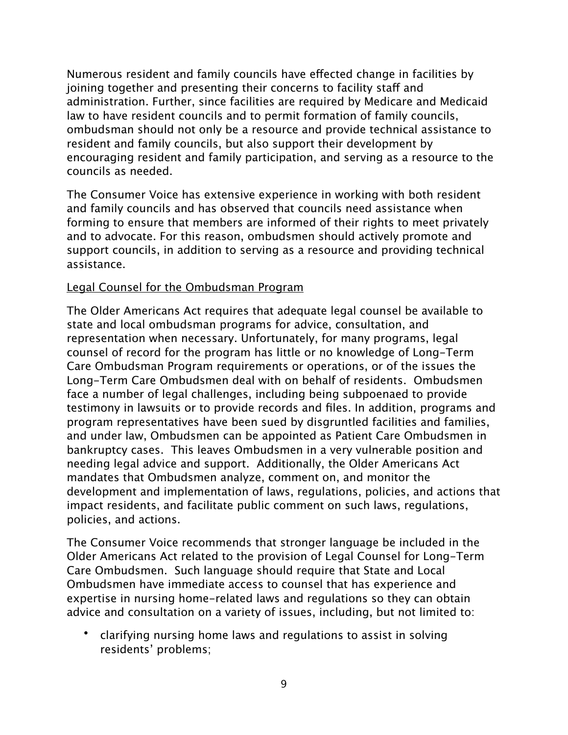Numerous resident and family councils have effected change in facilities by joining together and presenting their concerns to facility staff and administration. Further, since facilities are required by Medicare and Medicaid law to have resident councils and to permit formation of family councils, ombudsman should not only be a resource and provide technical assistance to resident and family councils, but also support their development by encouraging resident and family participation, and serving as a resource to the councils as needed.

The Consumer Voice has extensive experience in working with both resident and family councils and has observed that councils need assistance when forming to ensure that members are informed of their rights to meet privately and to advocate. For this reason, ombudsmen should actively promote and support councils, in addition to serving as a resource and providing technical assistance.

#### Legal Counsel for the Ombudsman Program

The Older Americans Act requires that adequate legal counsel be available to state and local ombudsman programs for advice, consultation, and representation when necessary. Unfortunately, for many programs, legal counsel of record for the program has little or no knowledge of Long-Term Care Ombudsman Program requirements or operations, or of the issues the Long-Term Care Ombudsmen deal with on behalf of residents. Ombudsmen face a number of legal challenges, including being subpoenaed to provide testimony in lawsuits or to provide records and files. In addition, programs and program representatives have been sued by disgruntled facilities and families, and under law, Ombudsmen can be appointed as Patient Care Ombudsmen in bankruptcy cases. This leaves Ombudsmen in a very vulnerable position and needing legal advice and support. Additionally, the Older Americans Act mandates that Ombudsmen analyze, comment on, and monitor the development and implementation of laws, regulations, policies, and actions that impact residents, and facilitate public comment on such laws, regulations, policies, and actions.

The Consumer Voice recommends that stronger language be included in the Older Americans Act related to the provision of Legal Counsel for Long-Term Care Ombudsmen. Such language should require that State and Local Ombudsmen have immediate access to counsel that has experience and expertise in nursing home-related laws and regulations so they can obtain advice and consultation on a variety of issues, including, but not limited to:

• clarifying nursing home laws and regulations to assist in solving residents' problems;